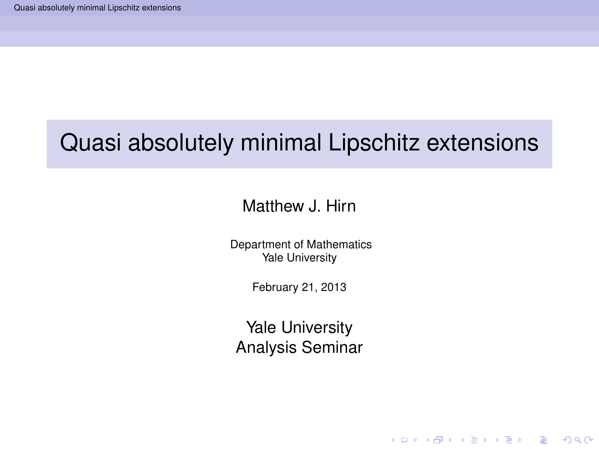#### Matthew J. Hirn

Department of Mathematics Yale University

February 21, 2013

<span id="page-0-0"></span>Yale University Analysis Seminar

**KOD KARD KED KED BE YOUR**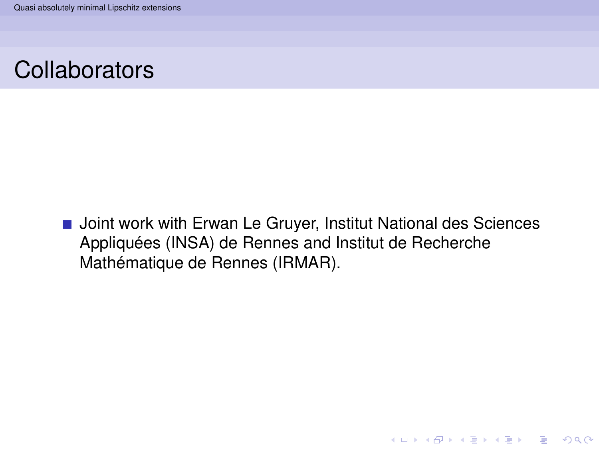### **Collaborators**

**Joint work with Erwan Le Gruyer, Institut National des Sciences** Appliquées (INSA) de Rennes and Institut de Recherche Mathématique de Rennes (IRMAR).

**KOD KARD KED KED BE YOUR**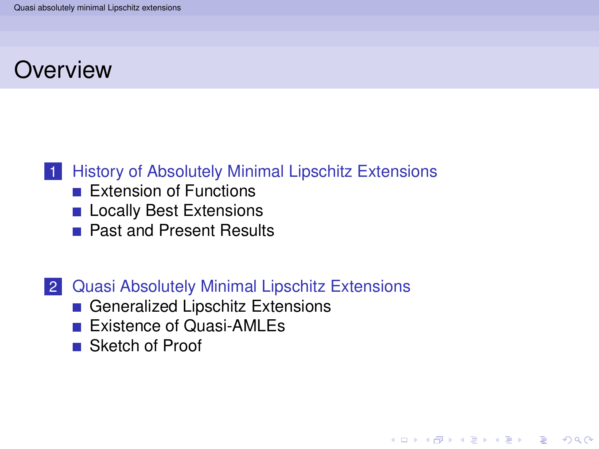## **Overview**

### 1 [History of Absolutely Minimal Lipschitz Extensions](#page-3-0)

- **[Extension of Functions](#page-4-0)**
- **[Locally Best Extensions](#page-9-0)**
- **[Past and Present Results](#page-14-0)**

#### 2 [Quasi Absolutely Minimal Lipschitz Extensions](#page-18-0)

**KOD KARD KED KED BE YOUR** 

- [Generalized Lipschitz Extensions](#page-19-0)
- **[Existence of Quasi-AMLEs](#page-27-0)**
- [Sketch of Proof](#page-30-0)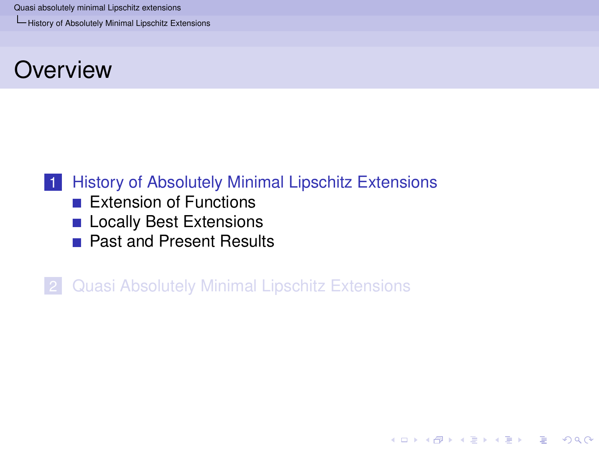[History of Absolutely Minimal Lipschitz Extensions](#page-3-0)

### **Overview**

### 1 [History of Absolutely Minimal Lipschitz Extensions](#page-3-0)

- **[Extension of Functions](#page-4-0)**
- **[Locally Best Extensions](#page-9-0)**
- **[Past and Present Results](#page-14-0)**

<span id="page-3-0"></span>2 [Quasi Absolutely Minimal Lipschitz Extensions](#page-18-0)

KEL KALEY KEY E NAG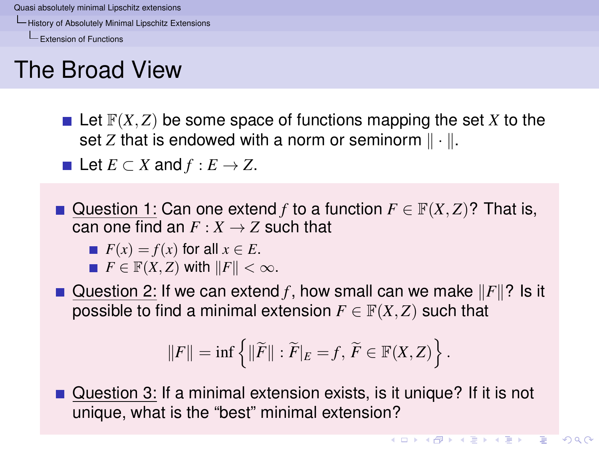[History of Absolutely Minimal Lipschitz Extensions](#page-4-0)

[Extension of Functions](#page-4-0)

# The Broad View

 $\blacksquare$  Let  $\mathbb{F}(X, Z)$  be some space of functions mapping the set X to the set *Z* that is endowed with a norm or seminorm  $\|\cdot\|$ .

**■** Let  $E \subset X$  and  $f : E \to Z$ .

Question 1: Can one extend *f* to a function  $F \in \mathbb{F}(X, Z)$ ? That is, can one find an  $F: X \rightarrow Z$  such that

$$
\blacksquare F(x) = f(x) \text{ for all } x \in E.
$$

 $F \in \mathbb{F}(X, Z)$  with  $||F|| < \infty$ .

Question 2: If we can extend *f*, how small can we make  $||F||$ ? Is it possible to find a minimal extension  $F \in \mathbb{F}(X, Z)$  such that

$$
||F|| = \inf \left\{ ||\widetilde{F}|| : \widetilde{F}|_E = f, \ \widetilde{F} \in \mathbb{F}(X, Z) \right\}.
$$

<span id="page-4-0"></span>Question 3: If a minimal extension exists, is it unique? If it is not unique, what is the "best" minimal extension?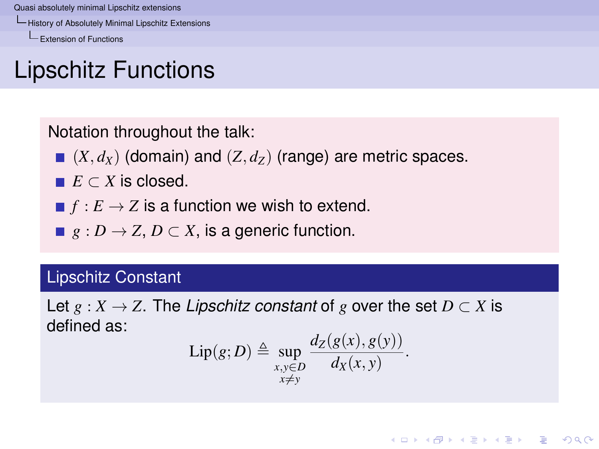[History of Absolutely Minimal Lipschitz Extensions](#page-5-0)

[Extension of Functions](#page-5-0)

# Lipschitz Functions

Notation throughout the talk:

- $(X, d_X)$  (domain) and  $(Z, d_Z)$  (range) are metric spaces.
- $E \subset X$  is closed.
- $\blacksquare$   $f : E \to Z$  is a function we wish to extend.
- **■**  $g: D \to Z, D \subset X$ , is a generic function.

#### Lipschitz Constant

<span id="page-5-0"></span>Let  $g: X \to Z$ . The *Lipschitz constant* of g over the set  $D \subset X$  is defined as:

$$
\mathrm{Lip}(g;D) \triangleq \sup_{\substack{x,y\in D\\x\neq y}} \frac{d_Z(g(x),g(y))}{d_X(x,y)}.
$$

KEL KALEY KEY E NAG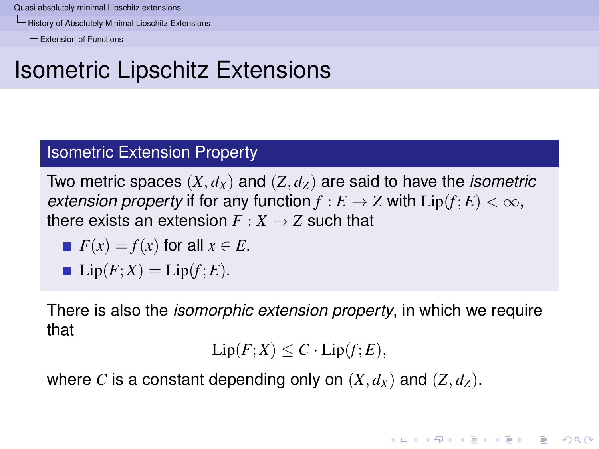[History of Absolutely Minimal Lipschitz Extensions](#page-6-0)

[Extension of Functions](#page-6-0)

## Isometric Lipschitz Extensions

#### Isometric Extension Property

Two metric spaces  $(X, d_X)$  and  $(Z, d_Z)$  are said to have the *isometric extension property* if for any function  $f : E \to Z$  with  $Lip(f; E) < \infty$ , there exists an extension  $F: X \rightarrow Z$  such that

$$
\blacksquare F(x) = f(x) \text{ for all } x \in E.
$$

$$
Lip(F;X) = Lip(f;E).
$$

There is also the *isomorphic extension property*, in which we require that

$$
\text{Lip}(F;X) \leq C \cdot \text{Lip}(f;E),
$$

**KORK EXTERNED ARA** 

<span id="page-6-0"></span>where *C* is a constant depending only on  $(X, d_X)$  and  $(Z, d_Z)$ .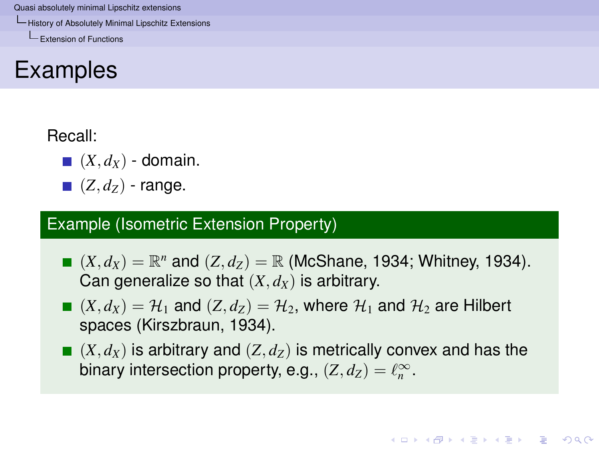[History of Absolutely Minimal Lipschitz Extensions](#page-7-0)

[Extension of Functions](#page-7-0)

## Examples

#### Recall:

- $(X, d_X)$  domain.
- $\blacksquare$   $(Z, d_z)$  range.

### Example (Isometric Extension Property)

- $(X, d_X) = \mathbb{R}^n$  and  $(Z, d_Z) = \mathbb{R}$  (McShane, 1934; Whitney, 1934). Can generalize so that  $(X, d_X)$  is arbitrary.
- $(X, d_X) = \mathcal{H}_1$  and  $(Z, d_Z) = \mathcal{H}_2$ , where  $\mathcal{H}_1$  and  $\mathcal{H}_2$  are Hilbert spaces (Kirszbraun, 1934).
- <span id="page-7-0"></span> $(X, d_X)$  is arbitrary and  $(Z, d_Z)$  is metrically convex and has the binary intersection property, e.g.,  $(Z, d_Z) = \ell_n^{\infty}$ .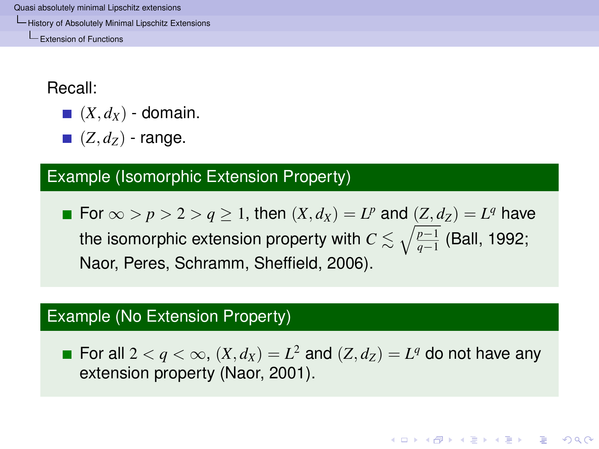[History of Absolutely Minimal Lipschitz Extensions](#page-8-0)

[Extension of Functions](#page-8-0)

Recall:

- $(X, d_X)$  domain.
- $\blacksquare$   $(Z, d_Z)$  range.

### Example (Isomorphic Extension Property)

For  $\infty > p > 2 > q \ge 1$ , then  $(X, d_X) = L^p$  and  $(Z, d_Z) = L^q$  have the isomorphic extension property with  $C \lesssim \sqrt{\frac{p-1}{q-1}}$  (Ball, 1992; Naor, Peres, Schramm, Sheffield, 2006).

#### Example (No Extension Property)

<span id="page-8-0"></span>For all  $2 < q < \infty$ ,  $(X, d_X) = L^2$  and  $(Z, d_Z) = L^q$  do not have any extension property (Naor, 2001).

**KOD KOD KED KED E VOOR**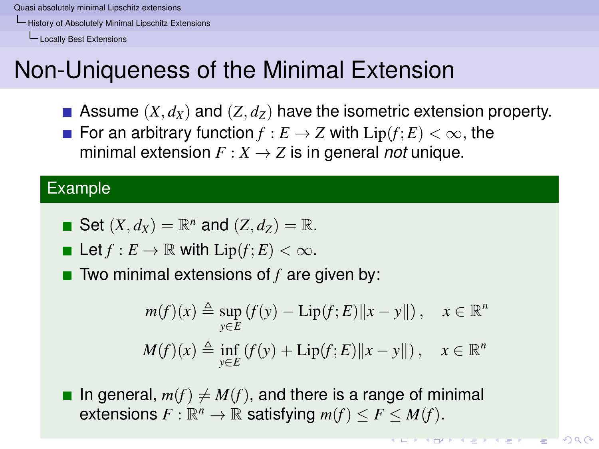[History of Absolutely Minimal Lipschitz Extensions](#page-9-0)

[Locally Best Extensions](#page-9-0)

# Non-Uniqueness of the Minimal Extension

- Assume  $(X, d_X)$  and  $(Z, d_Z)$  have the isometric extension property.
- **For an arbitrary function**  $f : E \to Z$  **with**  $Lip(f; E) < \infty$ **, the** minimal extension  $F: X \to Z$  is in general *not* unique.

#### Example

• Set 
$$
(X, d_X) = \mathbb{R}^n
$$
 and  $(Z, d_Z) = \mathbb{R}$ .

Let 
$$
f: E \to \mathbb{R}
$$
 with  $\text{Lip}(f; E) < \infty$ .

■ Two minimal extensions of *f* are given by:

$$
m(f)(x) \triangleq \sup_{y \in E} (f(y) - \text{Lip}(f; E) ||x - y||), \quad x \in \mathbb{R}^n
$$
  

$$
M(f)(x) \triangleq \inf_{y \in E} (f(y) + \text{Lip}(f; E) ||x - y||), \quad x \in \mathbb{R}^n
$$

<span id="page-9-0"></span>In general,  $m(f) \neq M(f)$ , and there is a range of minimal extensions  $F: \mathbb{R}^n \to \mathbb{R}$  satisfying  $m(f) \leq F \leq M(f)$ .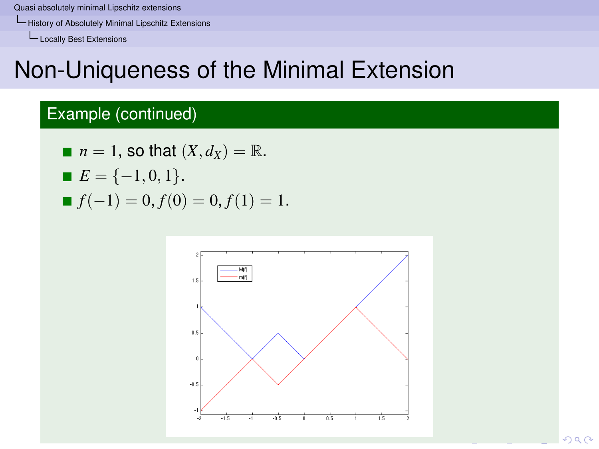[History of Absolutely Minimal Lipschitz Extensions](#page-10-0)

[Locally Best Extensions](#page-10-0)

# Non-Uniqueness of the Minimal Extension

### Example (continued)

\n- $$
n = 1
$$
, so that  $(X, d_X) = \mathbb{R}$ .
\n- $E = \{-1, 0, 1\}$ .
\n- $f(-1) = 0, f(0) = 0, f(1) = 1$ .
\n

<span id="page-10-0"></span>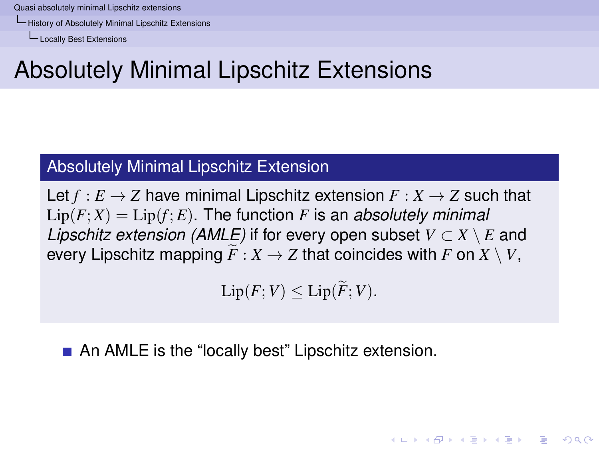[History of Absolutely Minimal Lipschitz Extensions](#page-11-0)

[Locally Best Extensions](#page-11-0)

# Absolutely Minimal Lipschitz Extensions

#### Absolutely Minimal Lipschitz Extension

Let  $f : E \to Z$  have minimal Lipschitz extension  $F : X \to Z$  such that  $Lip(F;X) = Lip(f;E)$ . The function *F* is an *absolutely minimal Lipschitz extension (AMLE)* if for every open subset  $V \subset X \setminus E$  and every Lipschitz mapping  $\widetilde{F}: X \to Z$  that coincides with *F* on  $X \setminus V$ ,

 $\text{Lip}(F;V) \leq \text{Lip}(\widetilde{F};V).$ 

**KORKARA KERKER DAGA** 

<span id="page-11-0"></span>An AMLE is the "locally best" Lipschitz extension.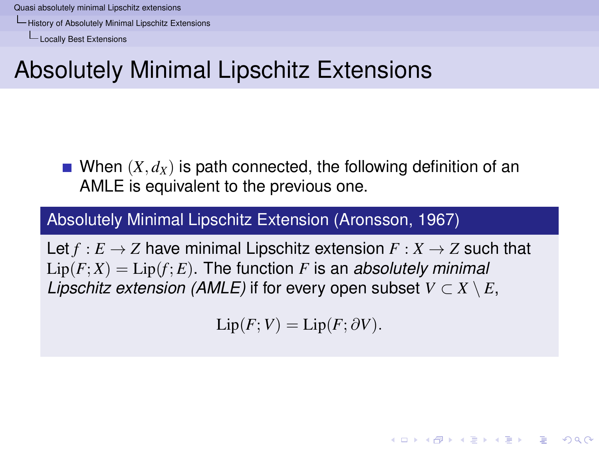[History of Absolutely Minimal Lipschitz Extensions](#page-12-0)

[Locally Best Extensions](#page-12-0)

# Absolutely Minimal Lipschitz Extensions

When  $(X, d_X)$  is path connected, the following definition of an AMLE is equivalent to the previous one.

#### Absolutely Minimal Lipschitz Extension (Aronsson, 1967)

<span id="page-12-0"></span>Let  $f : E \to Z$  have minimal Lipschitz extension  $F : X \to Z$  such that  $Lip(F;X) = Lip(f;E)$ . The function *F* is an *absolutely minimal Lipschitz extension (AMLE)* if for every open subset  $V \subset X \setminus E$ ,

$$
\text{Lip}(F;V) = \text{Lip}(F;\partial V).
$$

**KORKARA KERKER DAGA**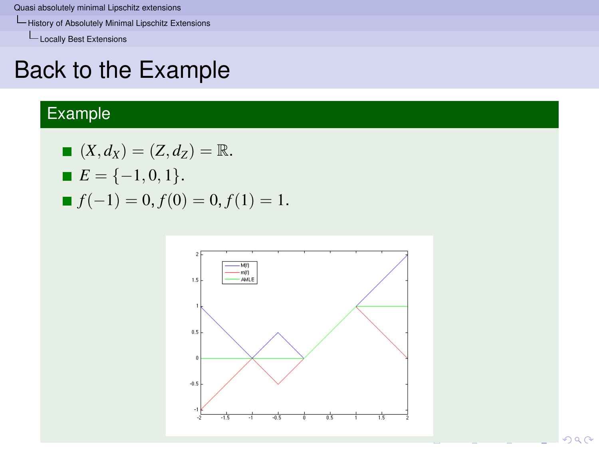[History of Absolutely Minimal Lipschitz Extensions](#page-13-0)

L<br>[Locally Best Extensions](#page-13-0)

### Back to the Example

### Example

■ 
$$
(X, d_X) = (Z, d_Z) = \mathbb{R}
$$
.  
\n■  $E = \{-1, 0, 1\}$ .  
\n■  $f(-1) = 0, f(0) = 0, f(1) = 1$ .

<span id="page-13-0"></span>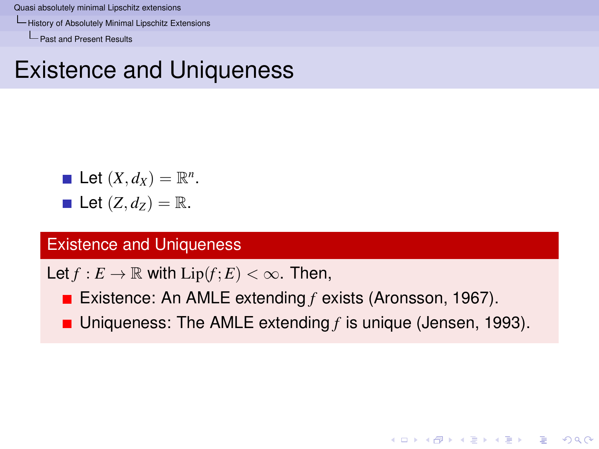[History of Absolutely Minimal Lipschitz Extensions](#page-14-0)

[Past and Present Results](#page-14-0)

### Existence and Uniqueness

\n- Let 
$$
(X, d_X) = \mathbb{R}^n
$$
.
\n- Let  $(Z, d_Z) = \mathbb{R}$ .
\n

#### Existence and Uniqueness

Let  $f: E \to \mathbb{R}$  with  $Lip(f; E) < \infty$ . Then,

- Existence: An AMLE extending *f* exists (Aronsson, 1967).
- <span id="page-14-0"></span>■ Uniqueness: The AMLE extending *f* is unique (Jensen, 1993).

K ロ ▶ K @ ▶ K 할 ▶ K 할 ▶ | 할 | K 9 Q Q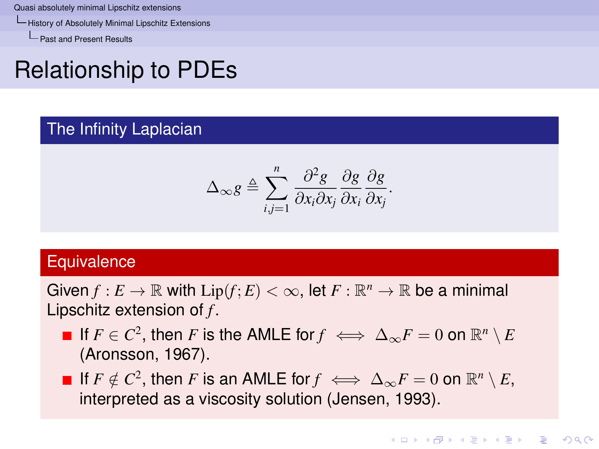[History of Absolutely Minimal Lipschitz Extensions](#page-15-0)

[Past and Present Results](#page-15-0)

# Relationship to PDEs

#### The Infinity Laplacian

$$
\Delta_{\infty} g \triangleq \sum_{i,j=1}^{n} \frac{\partial^2 g}{\partial x_i \partial x_j} \frac{\partial g}{\partial x_i} \frac{\partial g}{\partial x_j}.
$$

#### **Equivalence**

Given  $f: E \to \mathbb{R}$  with  $\text{Lip}(f; E) < \infty$ , let  $F: \mathbb{R}^n \to \mathbb{R}$  be a minimal Lipschitz extension of *f* .

- If  $F \in C^2$ , then  $F$  is the AMLE for  $f \iff \Delta_\infty F = 0$  on  $\mathbb{R}^n \setminus E$ (Aronsson, 1967).
- <span id="page-15-0"></span>If  $F \notin C^2$ , then *F* is an AMLE for  $f \iff \Delta_\infty F = 0$  on  $\mathbb{R}^n \setminus E$ , interpreted as a viscosity solution (Jensen, 1993).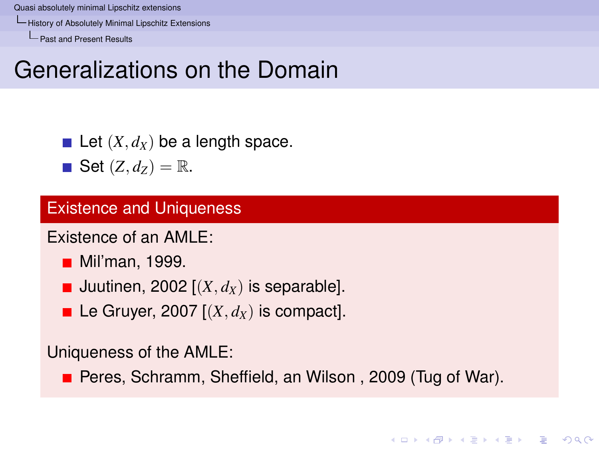[History of Absolutely Minimal Lipschitz Extensions](#page-16-0)

[Past and Present Results](#page-16-0)

## Generalizations on the Domain

Let  $(X, d_X)$  be a length space.

 $\blacksquare$  Set  $(Z, d_Z) = \mathbb{R}$ .

#### Existence and Uniqueness

Existence of an AMLE:

- **Mil**'man, 1999.
- **Juutinen, 2002**  $[(X, d_X)]$  is separable].
- Le Gruyer, 2007  $[(X, d_X)]$  is compact.

Uniqueness of the AMLE:

<span id="page-16-0"></span>**Peres, Schramm, Sheffield, an Wilson, 2009 (Tug of War).** 

KEL KALEY KEY E NAG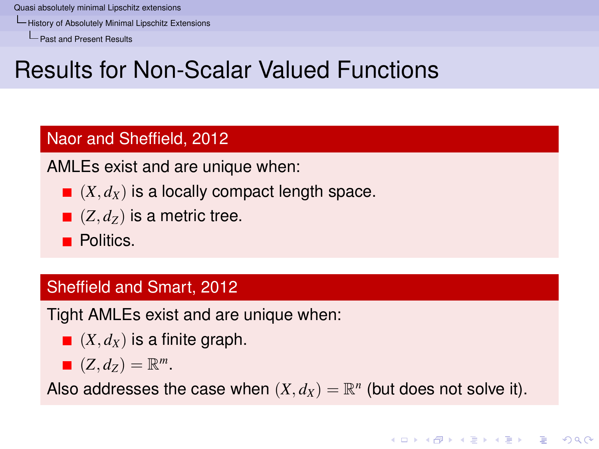[History of Absolutely Minimal Lipschitz Extensions](#page-17-0)

[Past and Present Results](#page-17-0)

# Results for Non-Scalar Valued Functions

#### Naor and Sheffield, 2012

AMLEs exist and are unique when:

- $\blacksquare$   $(X, d_X)$  is a locally compact length space.
- $( Z, d_z )$  is a metric tree.

**Politics.** 

#### Sheffield and Smart, 2012

Tight AMLEs exist and are unique when:

- $\blacksquare$   $(X, d_X)$  is a finite graph.
- $(Z, d_Z) = \mathbb{R}^m$ .

<span id="page-17-0"></span>Also addresses the case when  $(X, d_X) = \mathbb{R}^n$  (but does not solve it).

**KORK EXTERNED ARA**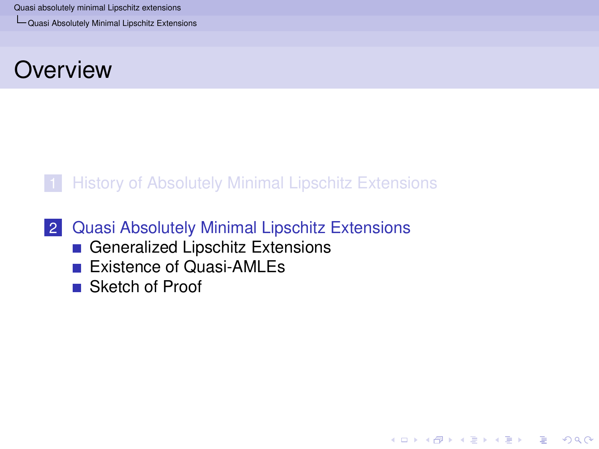[Quasi Absolutely Minimal Lipschitz Extensions](#page-18-0)

### **Overview**

#### **[History of Absolutely Minimal Lipschitz Extensions](#page-3-0)**

KEL KALEY KEY E NAG

#### 2 [Quasi Absolutely Minimal Lipschitz Extensions](#page-18-0)

- [Generalized Lipschitz Extensions](#page-19-0)
- **[Existence of Quasi-AMLEs](#page-27-0)**
- <span id="page-18-0"></span>■ [Sketch of Proof](#page-30-0)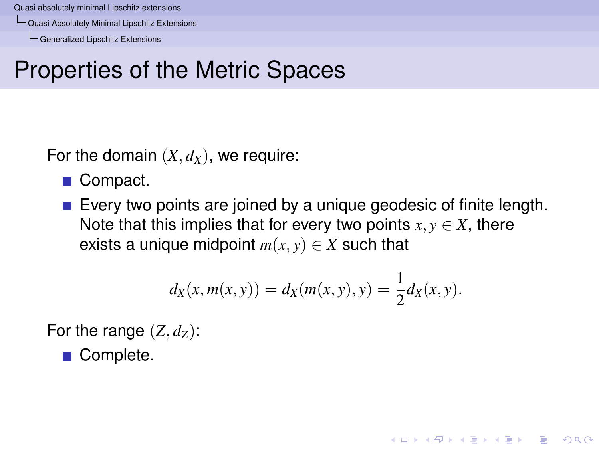[Quasi Absolutely Minimal Lipschitz Extensions](#page-19-0)

[Generalized Lipschitz Extensions](#page-19-0)

# Properties of the Metric Spaces

For the domain  $(X, d_X)$ , we require:

■ Compact.

Every two points are joined by a unique geodesic of finite length. Note that this implies that for every two points  $x, y \in X$ , there exists a unique midpoint  $m(x, y) \in X$  such that

$$
d_X(x, m(x, y)) = d_X(m(x, y), y) = \frac{1}{2}d_X(x, y).
$$

**KORK EXTERNED ARA** 

For the range  $(Z, d_Z)$ :

<span id="page-19-0"></span>■ Complete.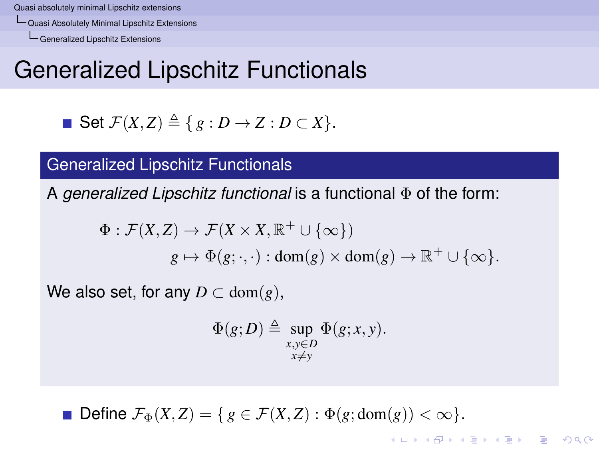[Quasi Absolutely Minimal Lipschitz Extensions](#page-20-0)

[Generalized Lipschitz Extensions](#page-20-0)

# Generalized Lipschitz Functionals

• Set 
$$
\mathcal{F}(X, Z) \triangleq \{ g : D \to Z : D \subset X \}.
$$

#### Generalized Lipschitz Functionals

A *generalized Lipschitz functional* is a functional Φ of the form:

$$
\Phi : \mathcal{F}(X,Z) \to \mathcal{F}(X \times X, \mathbb{R}^+ \cup \{\infty\})
$$
  

$$
g \mapsto \Phi(g; \cdot, \cdot) : \text{dom}(g) \times \text{dom}(g) \to \mathbb{R}^+ \cup \{\infty\}.
$$

We also set, for any  $D \subset \text{dom}(g)$ ,

$$
\Phi(g;D) \triangleq \sup_{\substack{x,y \in D \\ x \neq y}} \Phi(g;x,y).
$$

**KORK EXTERNED ARA** 

<span id="page-20-0"></span>Define  $\mathcal{F}_{\Phi}(X, Z) = \{ g \in \mathcal{F}(X, Z) : \Phi(g; \text{dom}(g)) < \infty \}.$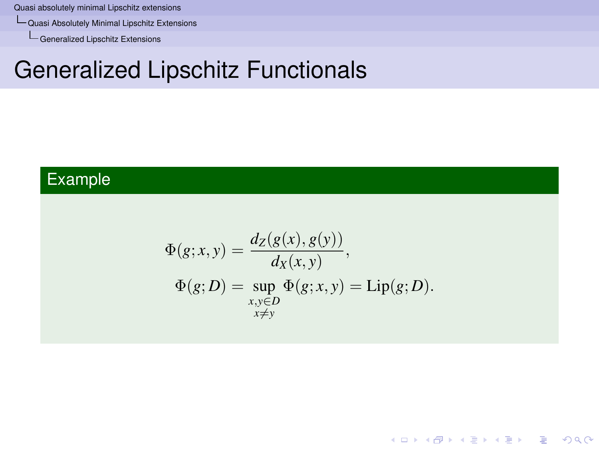[Quasi Absolutely Minimal Lipschitz Extensions](#page-21-0)

[Generalized Lipschitz Extensions](#page-21-0)

## Generalized Lipschitz Functionals

### <span id="page-21-0"></span>Example

$$
\Phi(g; x, y) = \frac{d_Z(g(x), g(y))}{d_X(x, y)},
$$
  
\n
$$
\Phi(g; D) = \sup_{\substack{x, y \in D \\ x \neq y}} \Phi(g; x, y) = \text{Lip}(g; D).
$$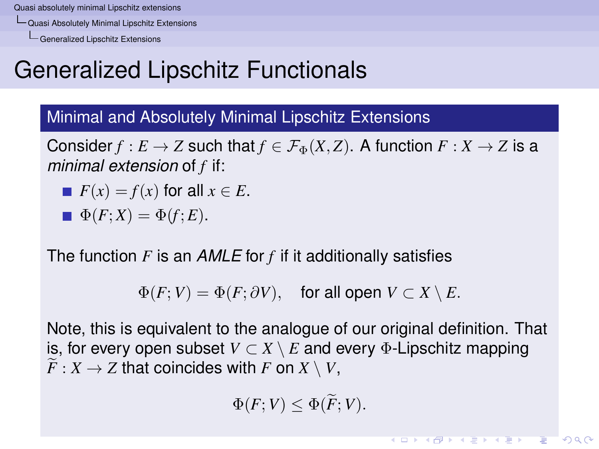[Quasi Absolutely Minimal Lipschitz Extensions](#page-22-0)

[Generalized Lipschitz Extensions](#page-22-0)

# Generalized Lipschitz Functionals

#### Minimal and Absolutely Minimal Lipschitz Extensions

Consider  $f : E \to Z$  such that  $f \in \mathcal{F}_{\Phi}(X, Z)$ . A function  $F : X \to Z$  is a *minimal extension* of *f* if:

$$
If(x) = f(x) \text{ for all } x \in E.
$$

$$
\blacksquare \Phi(F;X) = \Phi(f;E).
$$

The function *F* is an *AMLE* for *f* if it additionally satisfies

 $\Phi(F; V) = \Phi(F; \partial V)$ , for all open  $V \subset X \setminus E$ .

<span id="page-22-0"></span>Note, this is equivalent to the analogue of our original definition. That is, for every open subset  $V \subset X \setminus E$  and every  $\Phi$ -Lipschitz mapping  $\widetilde{F}: X \to Z$  that coincides with *F* on  $X \setminus V$ ,

$$
\Phi(F;V)\leq \Phi(\widetilde{F};V).
$$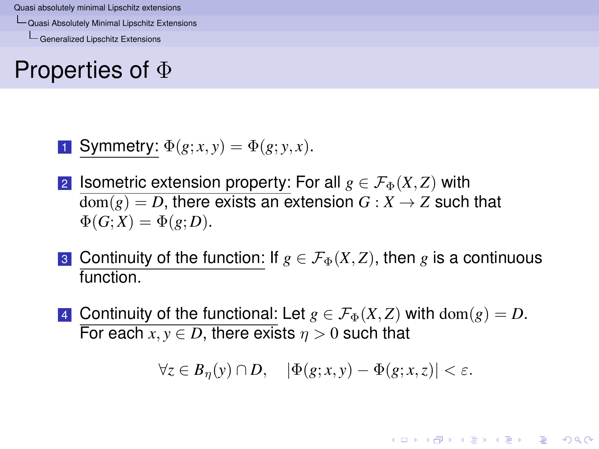[Quasi Absolutely Minimal Lipschitz Extensions](#page-23-0)

[Generalized Lipschitz Extensions](#page-23-0)

## Properties of Φ

**1** Symmetry: 
$$
\Phi(g; x, y) = \Phi(g; y, x)
$$
.

- 2 **Isometric extension property: For all**  $g \in \mathcal{F}_{\Phi}(X, Z)$  with  $dom(g) = D$ , there exists an extension  $G: X \rightarrow Z$  such that  $\Phi(G;X) = \Phi(g;D).$
- 3 Continuity of the function: If  $g \in \mathcal{F}_{\Phi}(X, Z)$ , then g is a continuous function.
- <span id="page-23-0"></span>4 Continuity of the functional: Let  $g \in \mathcal{F}_{\Phi}(X, Z)$  with  $dom(g) = D$ . For each  $x, y \in D$ , there exists  $n > 0$  such that

 $\forall z \in B_n(y) \cap D, \quad |\Phi(g; x, y) - \Phi(g; x, z)| < \varepsilon.$ 

**KORK EXTERNED ARA**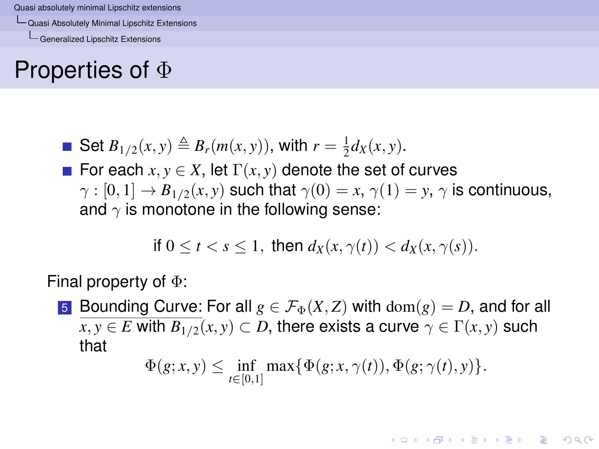[Quasi Absolutely Minimal Lipschitz Extensions](#page-24-0)

[Generalized Lipschitz Extensions](#page-24-0)

## Properties of Φ

- Set  $B_{1/2}(x, y) \triangleq B_r(m(x, y))$ , with  $r = \frac{1}{2}d_X(x, y)$ .
- For each  $x, y \in X$ , let  $\Gamma(x, y)$  denote the set of curves  $\gamma : [0, 1] \to B_{1/2}(x, y)$  such that  $\gamma(0) = x, \gamma(1) = y, \gamma$  is continuous, and  $\gamma$  is monotone in the following sense:

if 
$$
0 \le t < s \le 1
$$
, then  $d_X(x, \gamma(t)) < d_X(x, \gamma(s))$ .

Final property of Φ:

<span id="page-24-0"></span>5 Bounding Curve: For all  $g \in \mathcal{F}_{\Phi}(X, Z)$  with  $dom(g) = D$ , and for all  $x, y \in E$  with  $B_{1/2}(x, y) \subset D$ , there exists a curve  $\gamma \in \Gamma(x, y)$  such that

$$
\Phi(g; x, y) \leq \inf_{t \in [0,1]} \max \{ \Phi(g; x, \gamma(t)), \Phi(g; \gamma(t), y) \}.
$$

**KOD KOD KED KED E VOOR**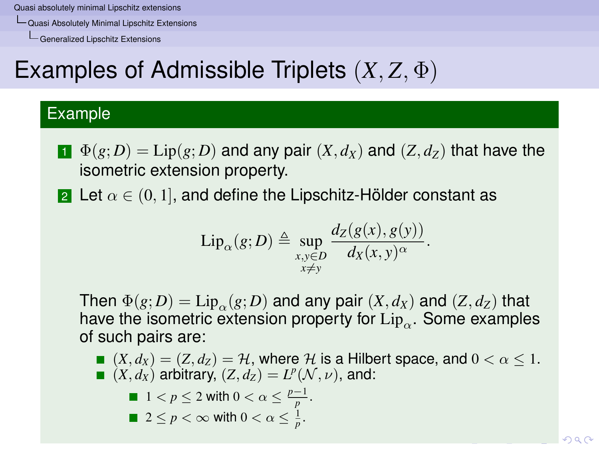[Quasi Absolutely Minimal Lipschitz Extensions](#page-25-0)

[Generalized Lipschitz Extensions](#page-25-0)

# Examples of Admissible Triplets (*X*, *Z*, Φ)

#### Example

- $\mathbf{I}$   $\Phi(g;D) = \text{Lip}(g;D)$  and any pair  $(X,d_X)$  and  $(Z,d_Z)$  that have the isometric extension property.
- 2 Let  $\alpha \in (0,1]$ , and define the Lipschitz-Hölder constant as

$$
\mathrm{Lip}_{\alpha}(g;D) \triangleq \sup_{\substack{x,y \in D \\ x \neq y}} \frac{d_Z(g(x),g(y))}{d_X(x,y)^{\alpha}}.
$$

Then  $\Phi(g; D) = \text{Lip}_{\alpha}(g; D)$  and any pair  $(X, d_X)$  and  $(Z, d_Z)$  that have the isometric extension property for  $\operatorname{Lip}_\alpha.$  Some examples of such pairs are:

<span id="page-25-0"></span> $(X, d_X) = (Z, d_Z) = \mathcal{H}$ , where  $\mathcal{H}$  is a Hilbert space, and  $0 < \alpha < 1$ .  $(X, d_X)$  arbitrary,  $(Z, d_Z) = L^p(\mathcal{N}, \nu)$ , and:

\n- 1 
$$
\langle p \leq 2 \text{ with } 0 < \alpha \leq \frac{p-1}{p}
$$
.
\n- 2 \leq p < \infty \text{ with } 0 < \alpha \leq \frac{1}{p}.
\n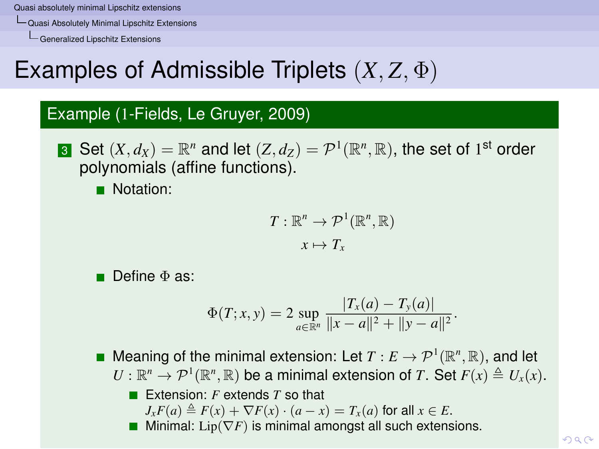[Quasi Absolutely Minimal Lipschitz Extensions](#page-26-0)

[Generalized Lipschitz Extensions](#page-26-0)

# Examples of Admissible Triplets (*X*, *Z*, Φ)

#### Example (1-Fields, Le Gruyer, 2009)

**3** Set  $(X, d_X) = \mathbb{R}^n$  and let  $(Z, d_Z) = \mathcal{P}^1(\mathbb{R}^n, \mathbb{R}),$  the set of 1<sup>st</sup> order polynomials (affine functions).

**Notation:** 

$$
T: \mathbb{R}^n \to \mathcal{P}^1(\mathbb{R}^n, \mathbb{R})
$$

$$
x \mapsto T_x
$$

■ Define Φ as:

$$
\Phi(T;x,y) = 2 \sup_{a \in \mathbb{R}^n} \frac{|T_x(a) - T_y(a)|}{\|x - a\|^2 + \|y - a\|^2}.
$$

Meaning of the minimal extension: Let  $T: E \to \mathcal{P}^1(\mathbb{R}^n, \mathbb{R})$ , and let  $U: \mathbb{R}^n \to \mathcal{P}^1(\mathbb{R}^n, \mathbb{R})$  be a minimal extension of *T*. Set  $F(x) \triangleq U_x(x)$ . ■ Extension: *F* extends *T* so that

- $J_xF(a) \triangleq F(x) + \nabla F(x) \cdot (a-x) = T_x(a)$  for all  $x \in E$ .
- <span id="page-26-0"></span>**Mi[n](#page-19-0)imal:** Lip( $\nabla F$ ) is minimal amongst all [suc](#page-25-0)[h e](#page-27-0)[x](#page-25-0)[ten](#page-26-0)[si](#page-27-0)[o](#page-18-0)n[s.](#page-26-0)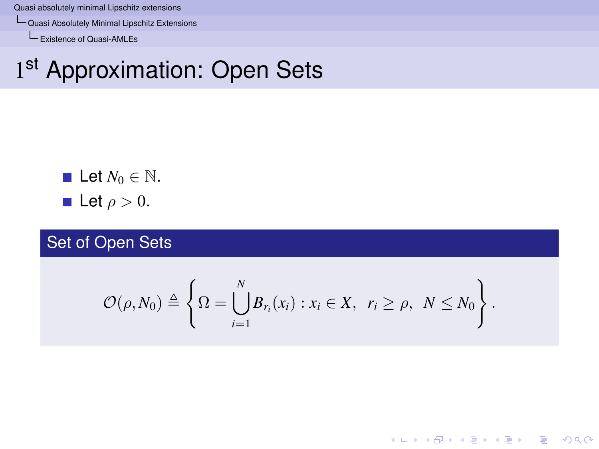[Quasi Absolutely Minimal Lipschitz Extensions](#page-27-0)

[Existence of Quasi-AMLEs](#page-27-0)

# 1st Approximation: Open Sets

\n- Let 
$$
N_0 \in \mathbb{N}
$$
.
\n- Let  $\rho > 0$ .
\n

Set of Open Sets

<span id="page-27-0"></span>
$$
\mathcal{O}(\rho,N_0)\triangleq\left\{\Omega=\bigcup_{i=1}^N B_{r_i}(x_i):x_i\in X,\ r_i\geq\rho,\ N\leq N_0\right\}.
$$

K ロ ▶ K @ ▶ K 할 ▶ K 할 ▶ 이 할 → 9 Q Q\*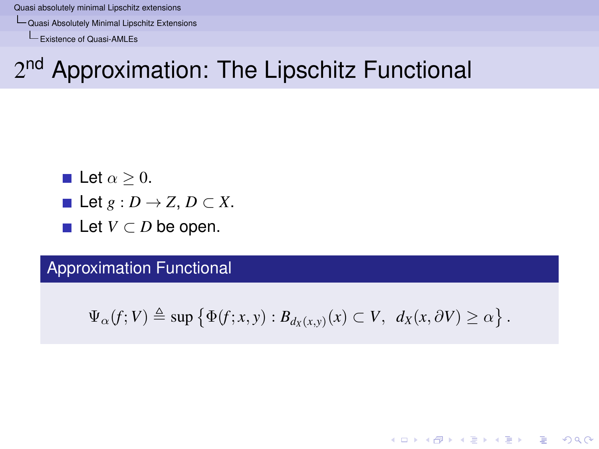[Quasi Absolutely Minimal Lipschitz Extensions](#page-28-0)

[Existence of Quasi-AMLEs](#page-28-0)

# 2<sup>nd</sup> Approximation: The Lipschitz Functional

Let 
$$
\alpha \geq 0
$$
.

- Let  $g: D \to Z$ ,  $D \subset X$ .
- **Let**  $V \subset D$  be open.

Approximation Functional

<span id="page-28-0"></span>
$$
\Psi_{\alpha}(f;V) \triangleq \sup \{ \Phi(f;x,y) : B_{d_X(x,y)}(x) \subset V, \, d_X(x,\partial V) \geq \alpha \}.
$$

**KORKARA KERKER DAGA**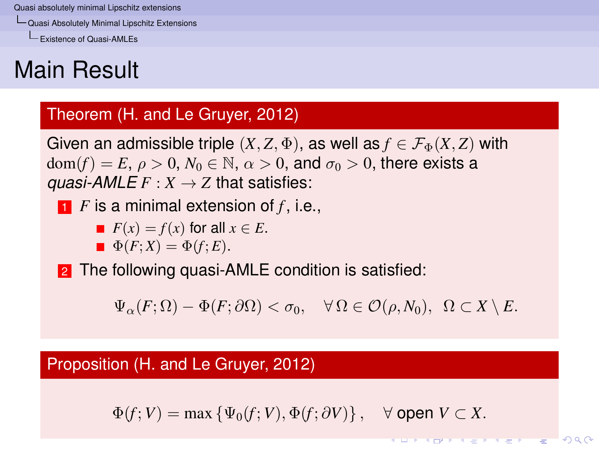[Quasi Absolutely Minimal Lipschitz Extensions](#page-29-0)

[Existence of Quasi-AMLEs](#page-29-0)

# Main Result

#### Theorem (H. and Le Gruyer, 2012)

Given an admissible triple  $(X, Z, \Phi)$ , as well as  $f \in \mathcal{F}_{\Phi}(X, Z)$  with  $dom(f) = E$ ,  $\rho > 0$ ,  $N_0 \in \mathbb{N}$ ,  $\alpha > 0$ , and  $\sigma_0 > 0$ , there exists a *guasi-AMLE*  $F: X \rightarrow Z$  that satisfies:

<sup>1</sup> *F* is a minimal extension of *f* , i.e.,

$$
F(x) = f(x) \text{ for all } x \in E.
$$

$$
\blacksquare \Phi(F;X) = \Phi(f;E).
$$

2 The following quasi-AMLE condition is satisfied:

 $\Psi_{\alpha}(F;\Omega) - \Phi(F;\partial\Omega) < \sigma_0, \quad \forall \Omega \in \mathcal{O}(\rho,N_0), \ \Omega \subset X \setminus E.$ 

#### <span id="page-29-0"></span>Proposition (H. and Le Gruyer, 2012)

 $\Phi(f; V) = \max \{ \Psi_0(f; V), \Phi(f; \partial V) \}, \quad \forall \text{ open } V \subset X.$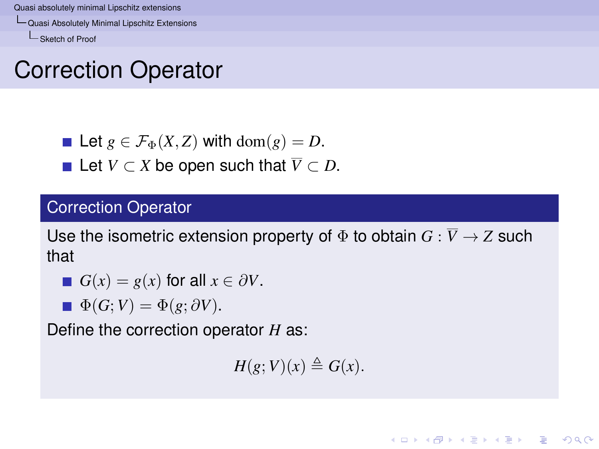[Quasi Absolutely Minimal Lipschitz Extensions](#page-30-0)

[Sketch of Proof](#page-30-0)

## Correction Operator

- Let  $g \in \mathcal{F}_{\Phi}(X, Z)$  with dom $(g) = D$ .
- **■** Let  $V \subset X$  be open such that  $\overline{V} \subset D$ .

#### Correction Operator

Use the isometric extension property of  $\Phi$  to obtain  $G : \overline{V} \to Z$  such that

■ 
$$
G(x) = g(x)
$$
 for all  $x \in \partial V$ .

 $\Phi(G;V) = \Phi(g; \partial V).$ 

<span id="page-30-0"></span>Define the correction operator *H* as:

 $H(g; V)(x) \triangleq G(x)$ .

KEL KALEY KEY E NAG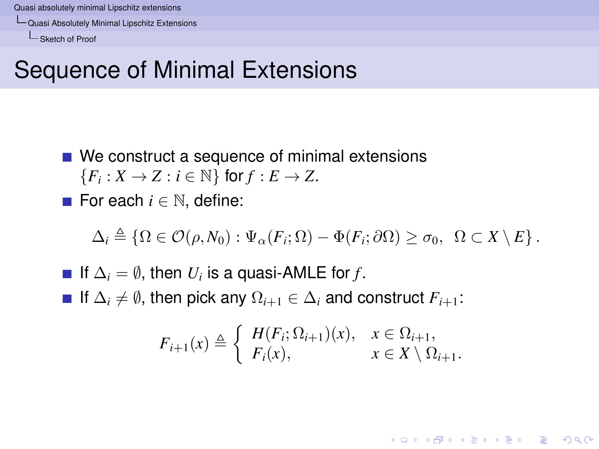[Quasi Absolutely Minimal Lipschitz Extensions](#page-31-0)

[Sketch of Proof](#page-31-0)

## Sequence of Minimal Extensions

- We construct a sequence of minimal extensions  ${F_i : X \to Z : i \in \mathbb{N} }$  for  $f : E \to Z$ .
- For each *i* ∈ N, define:

$$
\Delta_i \triangleq \{ \Omega \in \mathcal{O}(\rho, N_0) : \Psi_\alpha(F_i; \Omega) - \Phi(F_i; \partial \Omega) \geq \sigma_0, \ \Omega \subset X \setminus E \}.
$$

<span id="page-31-0"></span>If  $\Delta_i = \emptyset$ , then  $U_i$  is a quasi-AMLE for *f*. **■** If  $\Delta_i \neq \emptyset$ , then pick any  $\Omega_{i+1} \in \Delta_i$  and construct  $F_{i+1}$ :

$$
F_{i+1}(x) \triangleq \begin{cases} H(F_i; \Omega_{i+1})(x), & x \in \Omega_{i+1}, \\ F_i(x), & x \in X \setminus \Omega_{i+1}. \end{cases}
$$

KEL KALEY KEY E NAG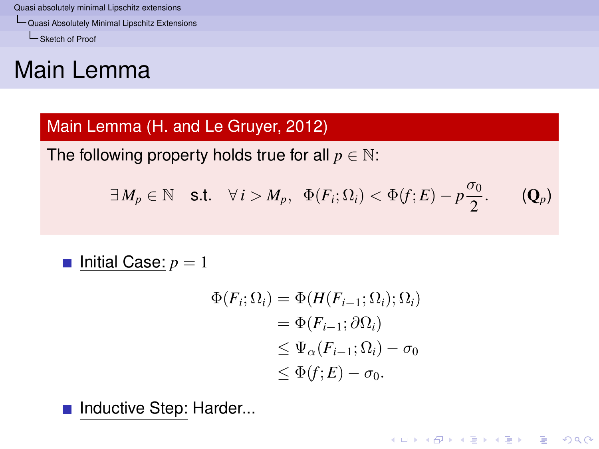[Quasi Absolutely Minimal Lipschitz Extensions](#page-32-0)

[Sketch of Proof](#page-32-0)

## Main Lemma

#### Main Lemma (H. and Le Gruyer, 2012)

The following property holds true for all  $p \in \mathbb{N}$ :

$$
\exists M_p \in \mathbb{N} \quad \text{s.t.} \quad \forall i > M_p, \ \ \Phi(F_i; \Omega_i) < \Phi(f; E) - p\frac{\sigma_0}{2}.
$$

■ Initial Case: 
$$
p = 1
$$

$$
\Phi(F_i; \Omega_i) = \Phi(H(F_{i-1}; \Omega_i); \Omega_i)
$$
  
= 
$$
\Phi(F_{i-1}; \partial \Omega_i)
$$
  

$$
\leq \Psi_{\alpha}(F_{i-1}; \Omega_i) - \sigma_0
$$
  

$$
\leq \Phi(f; E) - \sigma_0.
$$

K ロ ▶ K @ ▶ K 할 ▶ K 할 ▶ 이 할 → 9 Q Q\*

<span id="page-32-0"></span>Inductive Step: Harder...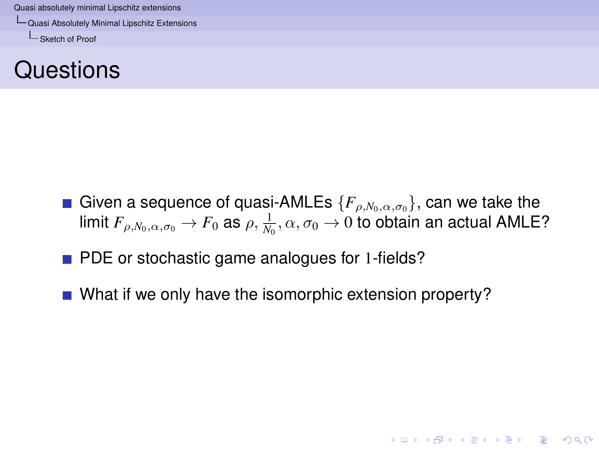[Quasi Absolutely Minimal Lipschitz Extensions](#page-33-0)

[Sketch of Proof](#page-33-0)



Given a sequence of quasi-AMLEs  $\{F_{\rho,N_0,\alpha,\sigma_0}\}\)$ , can we take the limit  $F_{\rho,N_0,\alpha,\sigma_0}\to F_0$  as  $\rho,\frac{1}{N_0},\alpha,\sigma_0\to 0$  to obtain an actual <code>AMLE?</code>

**KORK EXTERNED ARA** 

- **PDE** or stochastic game analogues for 1-fields?
- <span id="page-33-0"></span>What if we only have the isomorphic extension property?